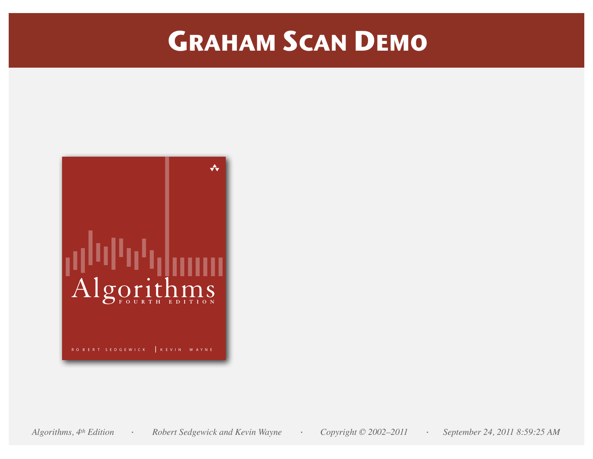# **GRAHAM SCAN DEMO**

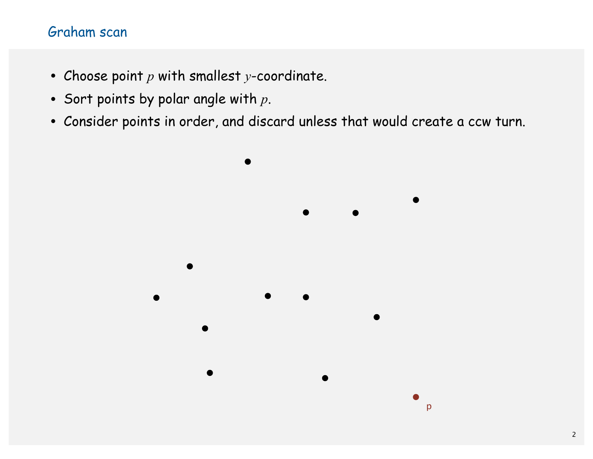- Choose point *p* with smallest *y*-coordinate.
- Sort points by polar angle with *p*.
- Consider points in order, and discard unless that would create a ccw turn.

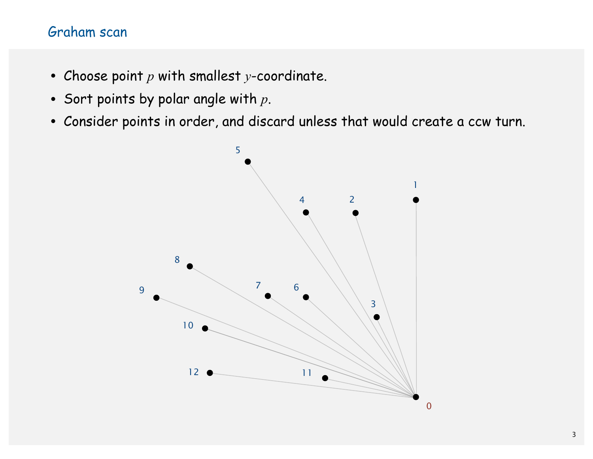- Choose point *p* with smallest *y*-coordinate.
- Sort points by polar angle with *p*.
- Consider points in order, and discard unless that would create a ccw turn.

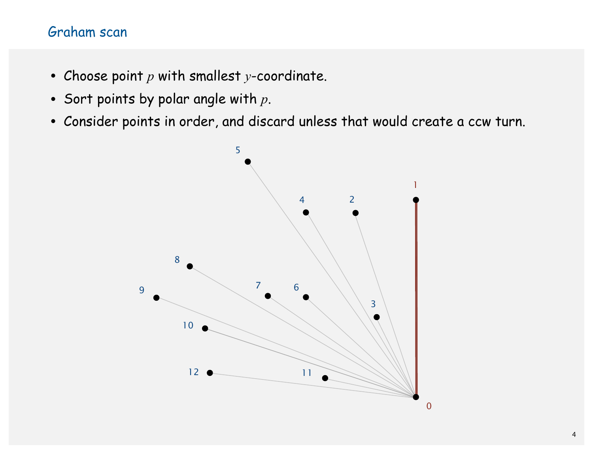- Choose point *p* with smallest *y*-coordinate.
- Sort points by polar angle with *p*.
- Consider points in order, and discard unless that would create a ccw turn.

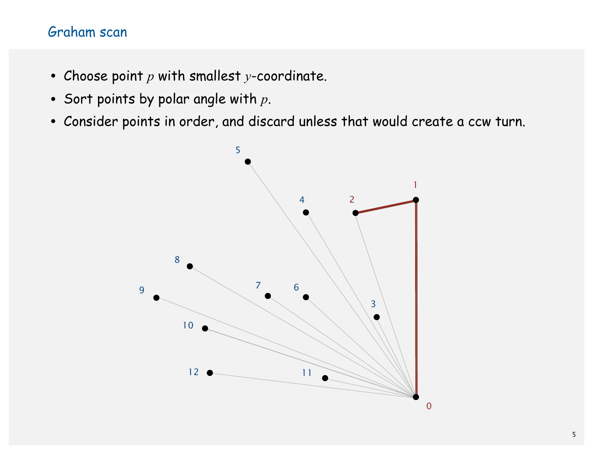- Choose point *p* with smallest *y*-coordinate.
- Sort points by polar angle with *p*.
- Consider points in order, and discard unless that would create a ccw turn.

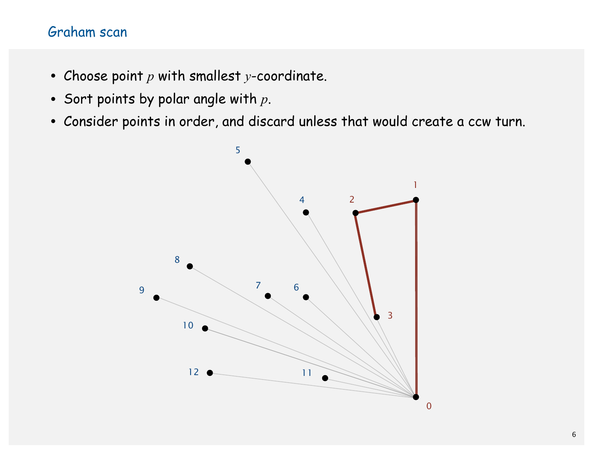- Choose point *p* with smallest *y*-coordinate.
- Sort points by polar angle with *p*.
- Consider points in order, and discard unless that would create a ccw turn.

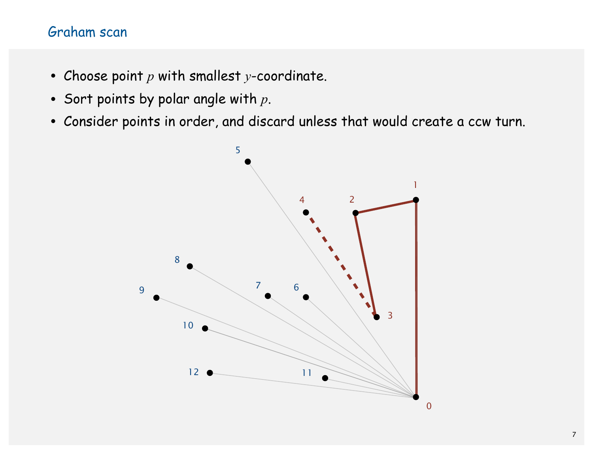- Choose point *p* with smallest *y*-coordinate.
- Sort points by polar angle with *p*.
- Consider points in order, and discard unless that would create a ccw turn.

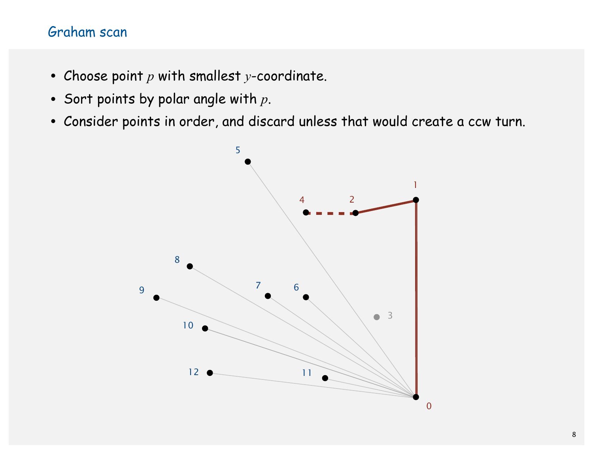- Choose point *p* with smallest *y*-coordinate.
- Sort points by polar angle with *p*.
- Consider points in order, and discard unless that would create a ccw turn.

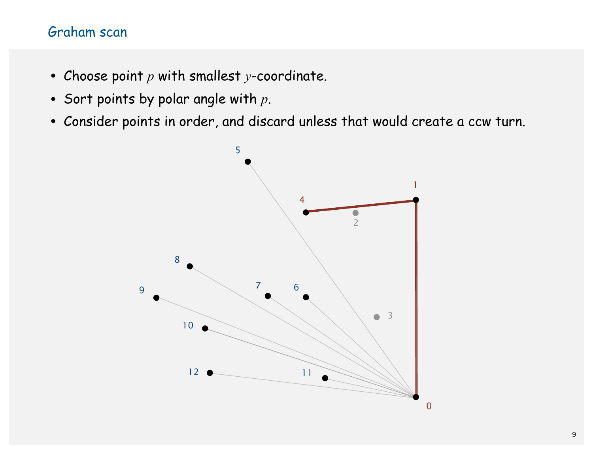- Choose point *p* with smallest *y*-coordinate.
- Sort points by polar angle with *p*.
- Consider points in order, and discard unless that would create a ccw turn.

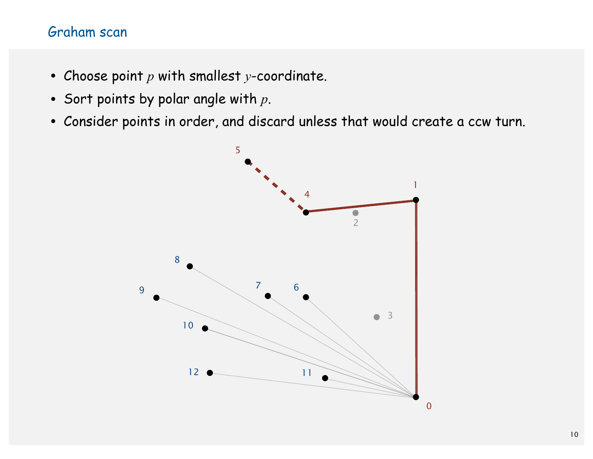- Choose point *p* with smallest *y*-coordinate.
- Sort points by polar angle with *p*.
- Consider points in order, and discard unless that would create a ccw turn.

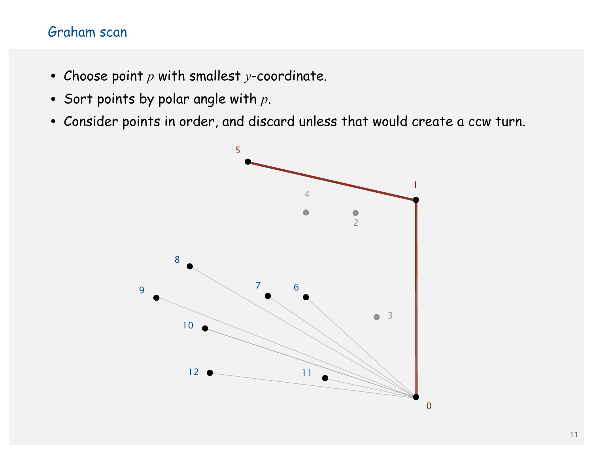- Choose point *p* with smallest *y*-coordinate.
- Sort points by polar angle with *p*.
- Consider points in order, and discard unless that would create a ccw turn.

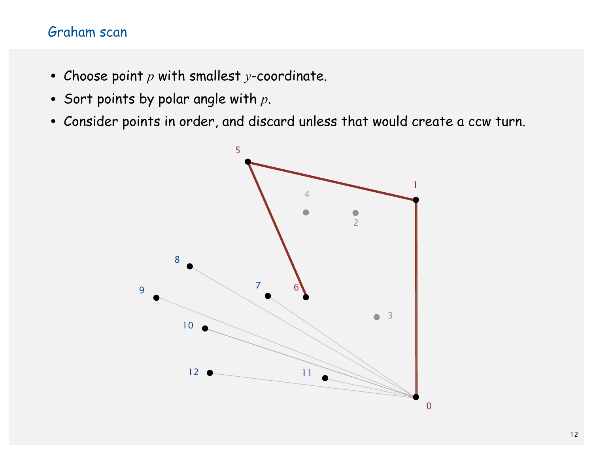- Choose point *p* with smallest *y*-coordinate.
- Sort points by polar angle with *p*.
- Consider points in order, and discard unless that would create a ccw turn.

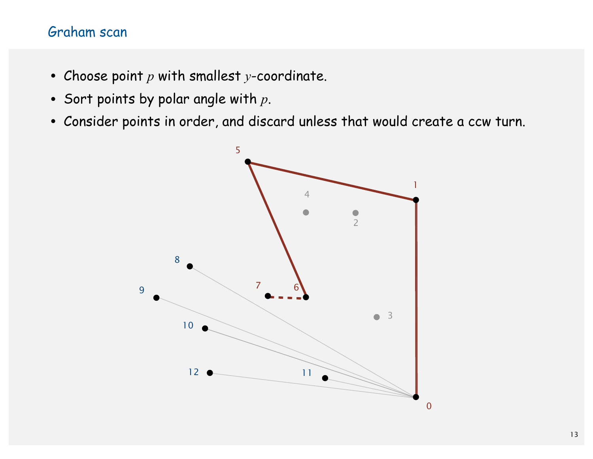- Choose point *p* with smallest *y*-coordinate.
- Sort points by polar angle with *p*.
- Consider points in order, and discard unless that would create a ccw turn.

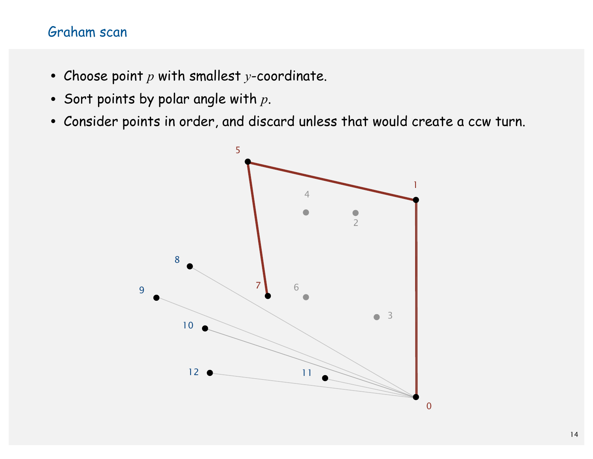- Choose point *p* with smallest *y*-coordinate.
- Sort points by polar angle with *p*.
- Consider points in order, and discard unless that would create a ccw turn.

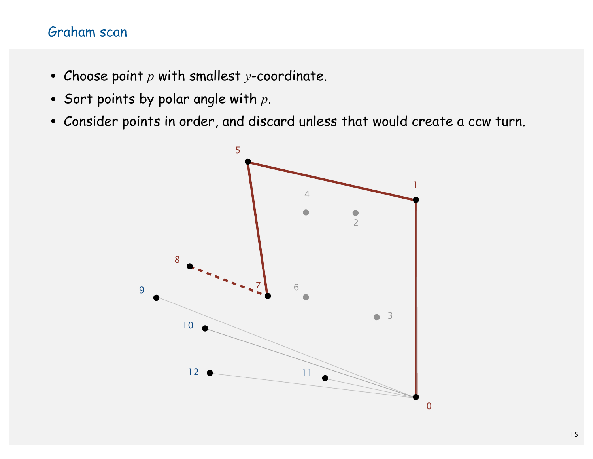- Choose point *p* with smallest *y*-coordinate.
- Sort points by polar angle with *p*.
- Consider points in order, and discard unless that would create a ccw turn.

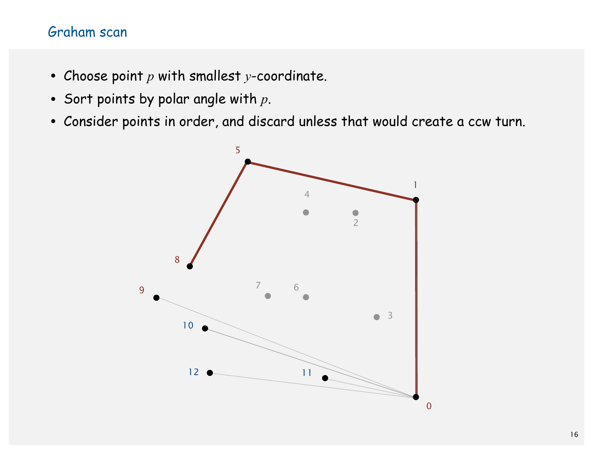- Choose point *p* with smallest *y*-coordinate.
- Sort points by polar angle with *p*.
- Consider points in order, and discard unless that would create a ccw turn.

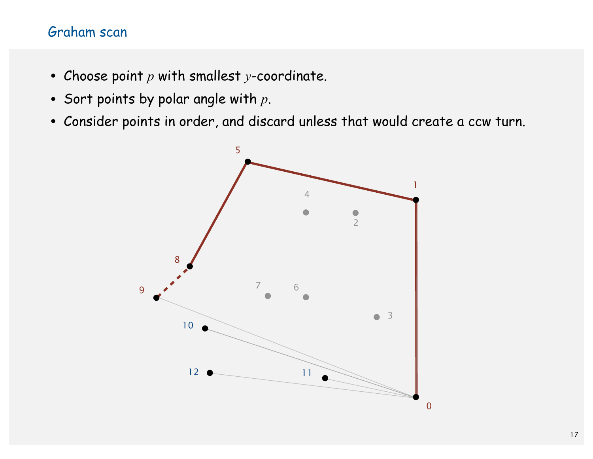- Choose point *p* with smallest *y*-coordinate.
- Sort points by polar angle with *p*.
- Consider points in order, and discard unless that would create a ccw turn.

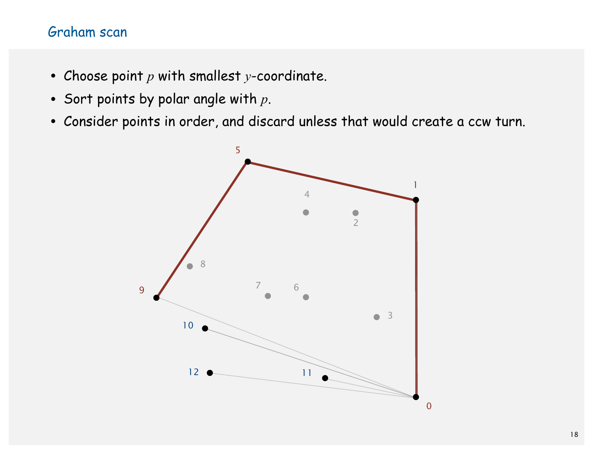- Choose point *p* with smallest *y*-coordinate.
- Sort points by polar angle with *p*.
- Consider points in order, and discard unless that would create a ccw turn.

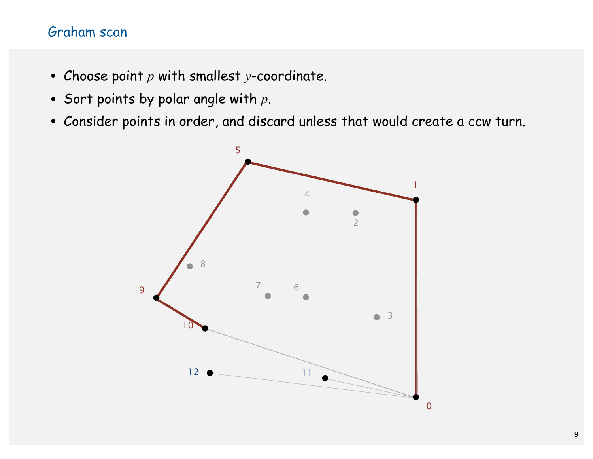- Choose point *p* with smallest *y*-coordinate.
- Sort points by polar angle with *p*.
- Consider points in order, and discard unless that would create a ccw turn.

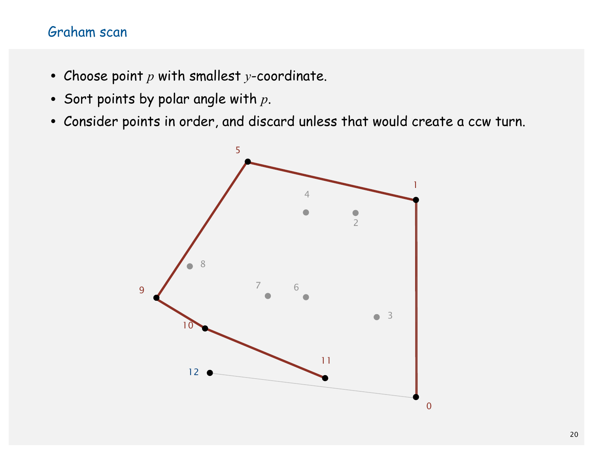- Choose point *p* with smallest *y*-coordinate.
- Sort points by polar angle with *p*.
- Consider points in order, and discard unless that would create a ccw turn.

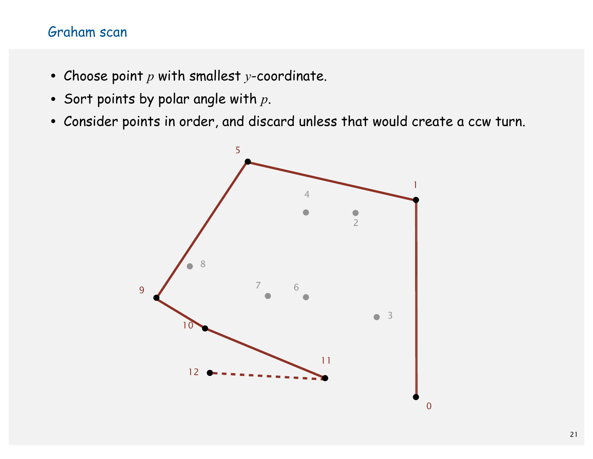- Choose point *p* with smallest *y*-coordinate.
- Sort points by polar angle with *p*.
- Consider points in order, and discard unless that would create a ccw turn.

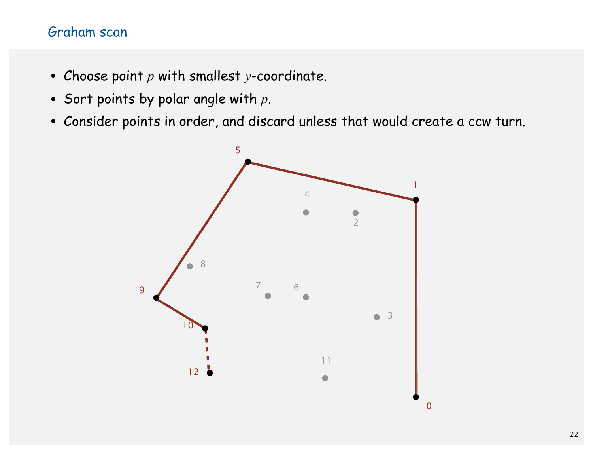- Choose point *p* with smallest *y*-coordinate.
- Sort points by polar angle with *p*.
- Consider points in order, and discard unless that would create a ccw turn.

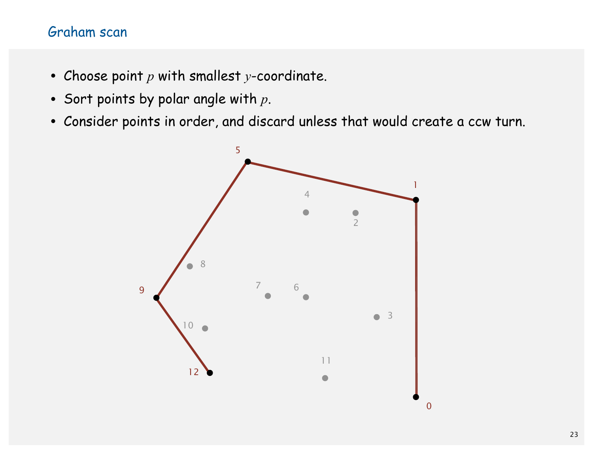- Choose point *p* with smallest *y*-coordinate.
- Sort points by polar angle with *p*.
- Consider points in order, and discard unless that would create a ccw turn.